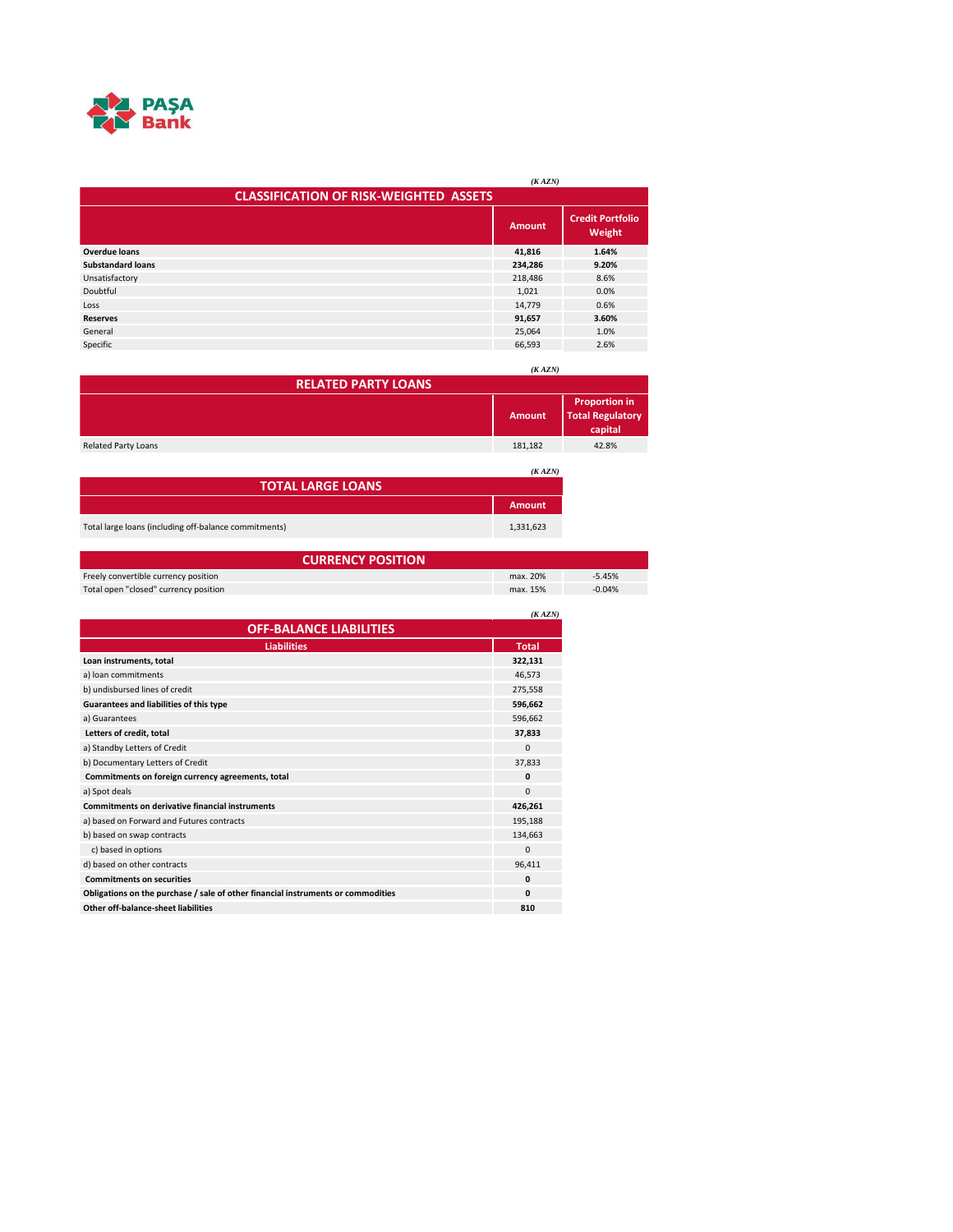

|                                               | (KAZN)        |                                   |  |
|-----------------------------------------------|---------------|-----------------------------------|--|
| <b>CLASSIFICATION OF RISK-WEIGHTED ASSETS</b> |               |                                   |  |
|                                               | <b>Amount</b> | <b>Credit Portfolio</b><br>Weight |  |
| <b>Overdue loans</b>                          | 41,816        | 1.64%                             |  |
| <b>Substandard loans</b>                      | 234,286       | 9.20%                             |  |
| Unsatisfactory                                | 218,486       | 8.6%                              |  |
| Doubtful                                      | 1,021         | 0.0%                              |  |
| Loss                                          | 14.779        | 0.6%                              |  |
| <b>Reserves</b>                               | 91,657        | 3.60%                             |  |
| General                                       | 25.064        | 1.0%                              |  |
| Specific                                      | 66,593        | 2.6%                              |  |

|                                    | (KAZN)        |                                                            |  |
|------------------------------------|---------------|------------------------------------------------------------|--|
| <b>RELATED PARTY LOANS</b>         |               |                                                            |  |
|                                    | <b>Amount</b> | <b>Proportion in</b><br><b>Total Regulatory</b><br>capital |  |
| <b>Related Party Loans</b>         | 181,182       | 42.8%                                                      |  |
| (KAZN)<br><b>TOTAL LARGE LOANS</b> |               |                                                            |  |
|                                    | <b>Amount</b> |                                                            |  |

Total large loans (including off-balance commitments) 1,331,623

| <b>CURRENCY POSITION</b>              |          |          |
|---------------------------------------|----------|----------|
| Freely convertible currency position  | max. 20% | $-5.45%$ |
| Total open "closed" currency position | max. 15% | $-0.04%$ |

|                                                                                  | (KAZN)       |
|----------------------------------------------------------------------------------|--------------|
| <b>OFF-BALANCE LIABILITIES</b>                                                   |              |
| <b>Liabilities</b>                                                               | <b>Total</b> |
| Loan instruments, total                                                          | 322.131      |
| a) loan commitments                                                              | 46,573       |
| b) undisbursed lines of credit                                                   | 275,558      |
| Guarantees and liabilities of this type                                          | 596.662      |
| a) Guarantees                                                                    | 596,662      |
| Letters of credit, total                                                         | 37,833       |
| a) Standby Letters of Credit                                                     | $\mathbf 0$  |
| b) Documentary Letters of Credit                                                 | 37,833       |
| Commitments on foreign currency agreements, total                                | $\mathbf{0}$ |
| a) Spot deals                                                                    | $\Omega$     |
| <b>Commitments on derivative financial instruments</b>                           | 426,261      |
| a) based on Forward and Futures contracts                                        | 195,188      |
| b) based on swap contracts                                                       | 134,663      |
| c) based in options                                                              | $\mathbf{0}$ |
| d) based on other contracts                                                      | 96,411       |
| <b>Commitments on securities</b>                                                 | $\mathbf{0}$ |
| Obligations on the purchase / sale of other financial instruments or commodities | $\mathbf{0}$ |
| Other off-balance-sheet liabilities                                              | 810          |